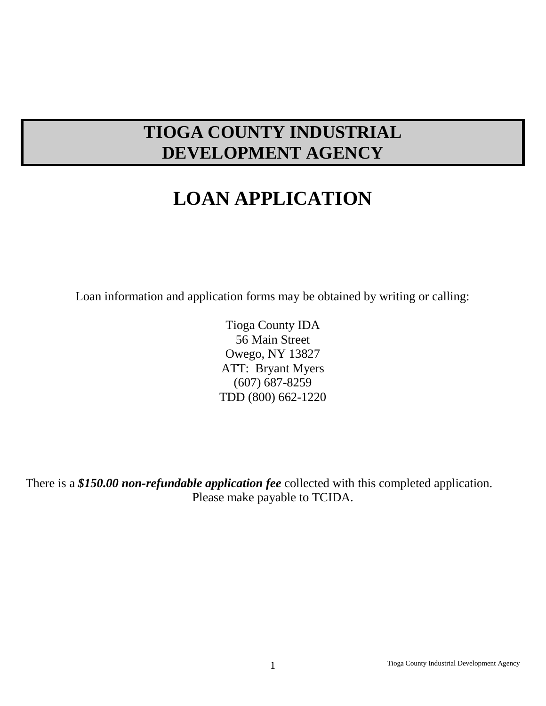# **TIOGA COUNTY INDUSTRIAL DEVELOPMENT AGENCY**

# **LOAN APPLICATION**

Loan information and application forms may be obtained by writing or calling:

Tioga County IDA 56 Main Street Owego, NY 13827 ATT: Bryant Myers (607) 687-8259 TDD (800) 662-1220

There is a *\$150.00 non-refundable application fee* collected with this completed application. Please make payable to TCIDA.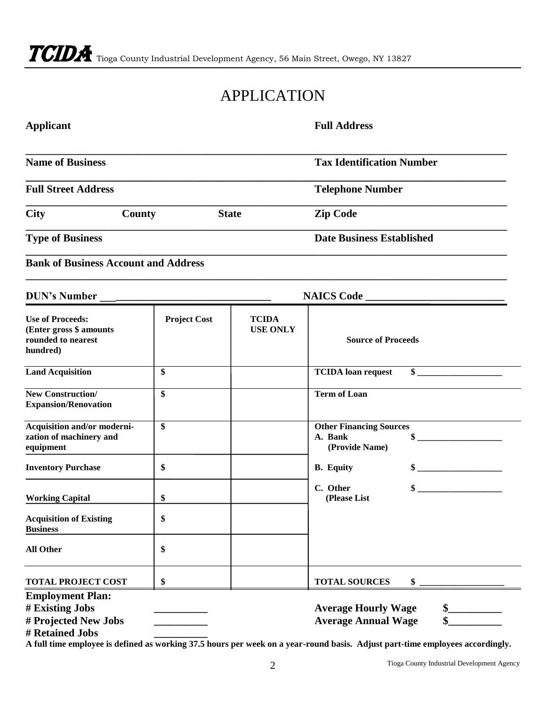# APPLICATION

| <b>Applicant</b>                                                                      |                     |                                 | <b>Full Address</b>                                         |               |
|---------------------------------------------------------------------------------------|---------------------|---------------------------------|-------------------------------------------------------------|---------------|
| <b>Name of Business</b>                                                               |                     |                                 | <b>Tax Identification Number</b>                            |               |
| <b>Full Street Address</b>                                                            |                     |                                 | <b>Telephone Number</b>                                     |               |
| <b>City</b><br>County                                                                 |                     | <b>State</b>                    | <b>Zip Code</b>                                             |               |
| <b>Type of Business</b>                                                               |                     |                                 | <b>Date Business Established</b>                            |               |
| <b>Bank of Business Account and Address</b>                                           |                     |                                 |                                                             |               |
| <b>DUN's Number</b>                                                                   |                     |                                 |                                                             |               |
| <b>Use of Proceeds:</b><br>(Enter gross \$ amounts<br>rounded to nearest<br>hundred)  | <b>Project Cost</b> | <b>TCIDA</b><br><b>USE ONLY</b> | <b>Source of Proceeds</b>                                   |               |
| <b>Land Acquisition</b>                                                               | \$                  |                                 | <b>TCIDA</b> loan request                                   | $\sim$        |
| <b>New Construction/</b><br><b>Expansion/Renovation</b>                               | \$                  |                                 | <b>Term of Loan</b>                                         |               |
| Acquisition and/or moderni-<br>zation of machinery and<br>equipment                   | \$                  |                                 | <b>Other Financing Sources</b><br>A. Bank<br>(Provide Name) | $\sim$        |
| <b>Inventory Purchase</b>                                                             | \$                  |                                 | <b>B.</b> Equity                                            | $\frac{1}{2}$ |
| <b>Working Capital</b>                                                                | \$                  |                                 | C. Other<br>(Please List                                    | $\sim$        |
| <b>Acquisition of Existing</b><br><b>Business</b>                                     | \$                  |                                 |                                                             |               |
| <b>All Other</b>                                                                      | \$                  |                                 |                                                             |               |
| <b>TOTAL PROJECT COST</b>                                                             | \$                  |                                 | <b>TOTAL SOURCES</b>                                        | \$            |
| <b>Employment Plan:</b><br># Existing Jobs<br># Projected New Jobs<br># Retained Jobs |                     |                                 | <b>Average Hourly Wage</b><br><b>Average Annual Wage</b>    |               |

**A full time employee is defined as working 37.5 hours per week on a year-round basis. Adjust part-time employees accordingly.**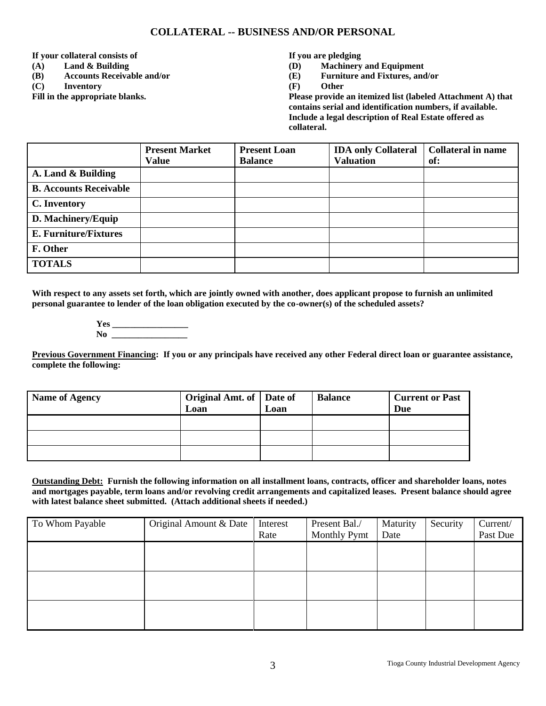### **COLLATERAL -- BUSINESS AND/OR PERSONAL**

**If your collateral consists of**

- **(A) Land & Building**
- **(B) Accounts Receivable and/or**
- **(C) Inventory**

**Fill in the appropriate blanks.**

**If you are pledging**

- **(D) Machinery and Equipment**
- **(E) Furniture and Fixtures, and/or**
- **(F) Other**

**Please provide an itemized list (labeled Attachment A) that contains serial and identification numbers, if available. Include a legal description of Real Estate offered as collateral.**

|                               | <b>Present Market</b> | <b>Present Loan</b> | <b>IDA only Collateral</b> | <b>Collateral in name</b> |
|-------------------------------|-----------------------|---------------------|----------------------------|---------------------------|
|                               | <b>Value</b>          | <b>Balance</b>      | <b>Valuation</b>           | of:                       |
| A. Land & Building            |                       |                     |                            |                           |
| <b>B. Accounts Receivable</b> |                       |                     |                            |                           |
| C. Inventory                  |                       |                     |                            |                           |
| D. Machinery/Equip            |                       |                     |                            |                           |
| <b>E. Furniture/Fixtures</b>  |                       |                     |                            |                           |
| F. Other                      |                       |                     |                            |                           |
| <b>TOTALS</b>                 |                       |                     |                            |                           |

**With respect to any assets set forth, which are jointly owned with another, does applicant propose to furnish an unlimited personal guarantee to lender of the loan obligation executed by the co-owner(s) of the scheduled assets?**

> **Yes \_\_\_\_\_\_\_\_\_\_\_\_\_\_\_\_\_**  $N$ **o**

**Previous Government Financing: If you or any principals have received any other Federal direct loan or guarantee assistance, complete the following:**

| <b>Name of Agency</b> | Original Amt. of   Date of<br>Loan | Loan | <b>Balance</b> | <b>Current or Past</b><br>Due |
|-----------------------|------------------------------------|------|----------------|-------------------------------|
|                       |                                    |      |                |                               |
|                       |                                    |      |                |                               |
|                       |                                    |      |                |                               |

**Outstanding Debt: Furnish the following information on all installment loans, contracts, officer and shareholder loans, notes and mortgages payable, term loans and/or revolving credit arrangements and capitalized leases. Present balance should agree with latest balance sheet submitted. (Attach additional sheets if needed.)**

| To Whom Payable | Original Amount & Date | Interest<br>Rate | Present Bal./<br>Monthly Pymt | Maturity<br>Date | Security | Current/<br>Past Due |
|-----------------|------------------------|------------------|-------------------------------|------------------|----------|----------------------|
|                 |                        |                  |                               |                  |          |                      |
|                 |                        |                  |                               |                  |          |                      |
|                 |                        |                  |                               |                  |          |                      |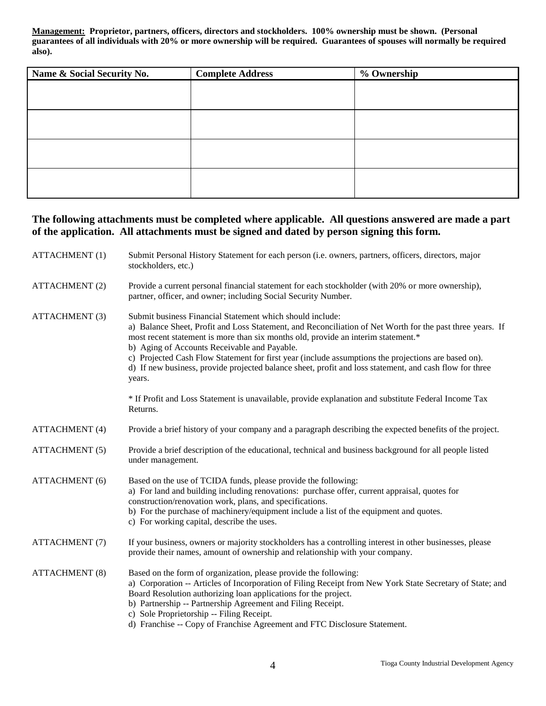**Management: Proprietor, partners, officers, directors and stockholders. 100% ownership must be shown. (Personal guarantees of all individuals with 20% or more ownership will be required. Guarantees of spouses will normally be required also).**

| Name & Social Security No. | <b>Complete Address</b> | % Ownership |
|----------------------------|-------------------------|-------------|
|                            |                         |             |
|                            |                         |             |
|                            |                         |             |
|                            |                         |             |
|                            |                         |             |
|                            |                         |             |
|                            |                         |             |
|                            |                         |             |

## **The following attachments must be completed where applicable. All questions answered are made a part of the application. All attachments must be signed and dated by person signing this form.**

| <b>ATTACHMENT (1)</b> | Submit Personal History Statement for each person (i.e. owners, partners, officers, directors, major<br>stockholders, etc.)                                                                                                                                                                                                                                                                                                                                                                                                             |
|-----------------------|-----------------------------------------------------------------------------------------------------------------------------------------------------------------------------------------------------------------------------------------------------------------------------------------------------------------------------------------------------------------------------------------------------------------------------------------------------------------------------------------------------------------------------------------|
| <b>ATTACHMENT (2)</b> | Provide a current personal financial statement for each stockholder (with 20% or more ownership),<br>partner, officer, and owner; including Social Security Number.                                                                                                                                                                                                                                                                                                                                                                     |
| ATTACHMENT (3)        | Submit business Financial Statement which should include:<br>a) Balance Sheet, Profit and Loss Statement, and Reconciliation of Net Worth for the past three years. If<br>most recent statement is more than six months old, provide an interim statement.*<br>b) Aging of Accounts Receivable and Payable.<br>c) Projected Cash Flow Statement for first year (include assumptions the projections are based on).<br>d) If new business, provide projected balance sheet, profit and loss statement, and cash flow for three<br>years. |
|                       | * If Profit and Loss Statement is unavailable, provide explanation and substitute Federal Income Tax<br>Returns.                                                                                                                                                                                                                                                                                                                                                                                                                        |
| <b>ATTACHMENT</b> (4) | Provide a brief history of your company and a paragraph describing the expected benefits of the project.                                                                                                                                                                                                                                                                                                                                                                                                                                |
| <b>ATTACHMENT (5)</b> | Provide a brief description of the educational, technical and business background for all people listed<br>under management.                                                                                                                                                                                                                                                                                                                                                                                                            |
| <b>ATTACHMENT</b> (6) | Based on the use of TCIDA funds, please provide the following:<br>a) For land and building including renovations: purchase offer, current appraisal, quotes for<br>construction/renovation work, plans, and specifications.<br>b) For the purchase of machinery/equipment include a list of the equipment and quotes.<br>c) For working capital, describe the uses.                                                                                                                                                                     |
| ATTACHMENT (7)        | If your business, owners or majority stockholders has a controlling interest in other businesses, please<br>provide their names, amount of ownership and relationship with your company.                                                                                                                                                                                                                                                                                                                                                |
| <b>ATTACHMENT (8)</b> | Based on the form of organization, please provide the following:<br>a) Corporation -- Articles of Incorporation of Filing Receipt from New York State Secretary of State; and<br>Board Resolution authorizing loan applications for the project.<br>b) Partnership -- Partnership Agreement and Filing Receipt.<br>c) Sole Proprietorship -- Filing Receipt.<br>d) Franchise -- Copy of Franchise Agreement and FTC Disclosure Statement.                                                                                               |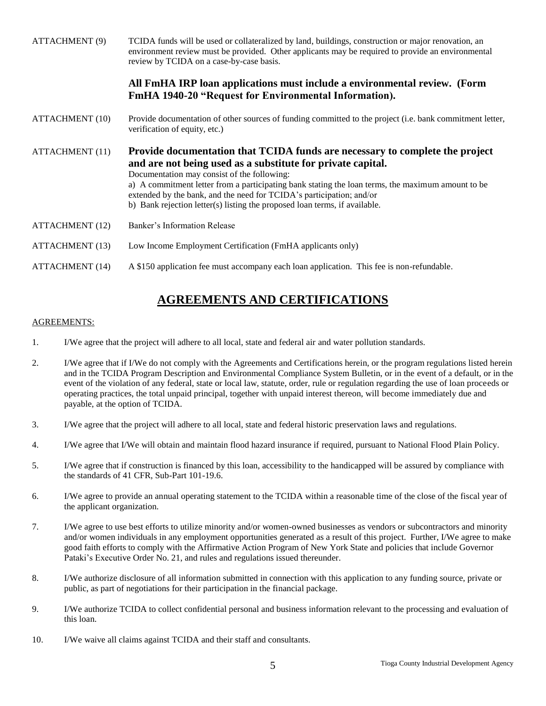| <b>ATTACHMENT (9)</b>  | TCIDA funds will be used or collateralized by land, buildings, construction or major renovation, an<br>environment review must be provided. Other applicants may be required to provide an environmental<br>review by TCIDA on a case-by-case basis.                                                                                                                                                                                                  |
|------------------------|-------------------------------------------------------------------------------------------------------------------------------------------------------------------------------------------------------------------------------------------------------------------------------------------------------------------------------------------------------------------------------------------------------------------------------------------------------|
|                        | All FmHA IRP loan applications must include a environmental review. (Form<br>FmHA 1940-20 "Request for Environmental Information).                                                                                                                                                                                                                                                                                                                    |
| <b>ATTACHMENT (10)</b> | Provide documentation of other sources of funding committed to the project (i.e. bank commitment letter,<br>verification of equity, etc.)                                                                                                                                                                                                                                                                                                             |
| <b>ATTACHMENT</b> (11) | Provide documentation that TCIDA funds are necessary to complete the project<br>and are not being used as a substitute for private capital.<br>Documentation may consist of the following:<br>a) A commitment letter from a participating bank stating the loan terms, the maximum amount to be<br>extended by the bank, and the need for TCIDA's participation; and/or<br>b) Bank rejection letter(s) listing the proposed loan terms, if available. |
| <b>ATTACHMENT</b> (12) | Banker's Information Release                                                                                                                                                                                                                                                                                                                                                                                                                          |
| <b>ATTACHMENT</b> (13) | Low Income Employment Certification (FmHA applicants only)                                                                                                                                                                                                                                                                                                                                                                                            |
| <b>ATTACHMENT</b> (14) | A \$150 application fee must accompany each loan application. This fee is non-refundable.                                                                                                                                                                                                                                                                                                                                                             |

# **AGREEMENTS AND CERTIFICATIONS**

#### AGREEMENTS:

- 1. I/We agree that the project will adhere to all local, state and federal air and water pollution standards.
- 2. I/We agree that if I/We do not comply with the Agreements and Certifications herein, or the program regulations listed herein and in the TCIDA Program Description and Environmental Compliance System Bulletin, or in the event of a default, or in the event of the violation of any federal, state or local law, statute, order, rule or regulation regarding the use of loan proceeds or operating practices, the total unpaid principal, together with unpaid interest thereon, will become immediately due and payable, at the option of TCIDA.
- 3. I/We agree that the project will adhere to all local, state and federal historic preservation laws and regulations.
- 4. I/We agree that I/We will obtain and maintain flood hazard insurance if required, pursuant to National Flood Plain Policy.
- 5. I/We agree that if construction is financed by this loan, accessibility to the handicapped will be assured by compliance with the standards of 41 CFR, Sub-Part 101-19.6.
- 6. I/We agree to provide an annual operating statement to the TCIDA within a reasonable time of the close of the fiscal year of the applicant organization.
- 7. I/We agree to use best efforts to utilize minority and/or women-owned businesses as vendors or subcontractors and minority and/or women individuals in any employment opportunities generated as a result of this project. Further, I/We agree to make good faith efforts to comply with the Affirmative Action Program of New York State and policies that include Governor Pataki's Executive Order No. 21, and rules and regulations issued thereunder.
- 8. I/We authorize disclosure of all information submitted in connection with this application to any funding source, private or public, as part of negotiations for their participation in the financial package.
- 9. I/We authorize TCIDA to collect confidential personal and business information relevant to the processing and evaluation of this loan.
- 10. I/We waive all claims against TCIDA and their staff and consultants.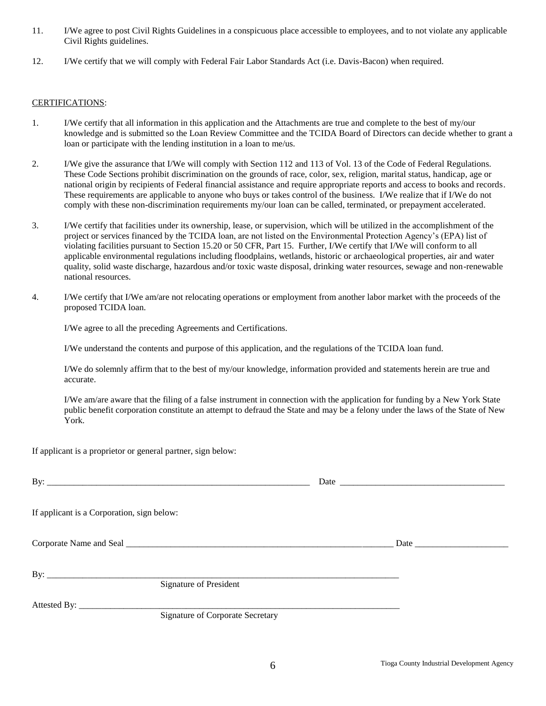- 11. I/We agree to post Civil Rights Guidelines in a conspicuous place accessible to employees, and to not violate any applicable Civil Rights guidelines.
- 12. I/We certify that we will comply with Federal Fair Labor Standards Act (i.e. Davis-Bacon) when required.

#### CERTIFICATIONS:

- 1. I/We certify that all information in this application and the Attachments are true and complete to the best of my/our knowledge and is submitted so the Loan Review Committee and the TCIDA Board of Directors can decide whether to grant a loan or participate with the lending institution in a loan to me/us.
- 2. I/We give the assurance that I/We will comply with Section 112 and 113 of Vol. 13 of the Code of Federal Regulations. These Code Sections prohibit discrimination on the grounds of race, color, sex, religion, marital status, handicap, age or national origin by recipients of Federal financial assistance and require appropriate reports and access to books and records. These requirements are applicable to anyone who buys or takes control of the business. I/We realize that if I/We do not comply with these non-discrimination requirements my/our loan can be called, terminated, or prepayment accelerated.
- 3. I/We certify that facilities under its ownership, lease, or supervision, which will be utilized in the accomplishment of the project or services financed by the TCIDA loan, are not listed on the Environmental Protection Agency's (EPA) list of violating facilities pursuant to Section 15.20 or 50 CFR, Part 15. Further, I/We certify that I/We will conform to all applicable environmental regulations including floodplains, wetlands, historic or archaeological properties, air and water quality, solid waste discharge, hazardous and/or toxic waste disposal, drinking water resources, sewage and non-renewable national resources.
- 4. I/We certify that I/We am/are not relocating operations or employment from another labor market with the proceeds of the proposed TCIDA loan.

I/We agree to all the preceding Agreements and Certifications.

I/We understand the contents and purpose of this application, and the regulations of the TCIDA loan fund.

I/We do solemnly affirm that to the best of my/our knowledge, information provided and statements herein are true and accurate.

I/We am/are aware that the filing of a false instrument in connection with the application for funding by a New York State public benefit corporation constitute an attempt to defraud the State and may be a felony under the laws of the State of New York.

If applicant is a proprietor or general partner, sign below:

| If applicant is a Corporation, sign below: |                                         |  |
|--------------------------------------------|-----------------------------------------|--|
|                                            |                                         |  |
|                                            | Signature of President                  |  |
|                                            | <b>Signature of Corporate Secretary</b> |  |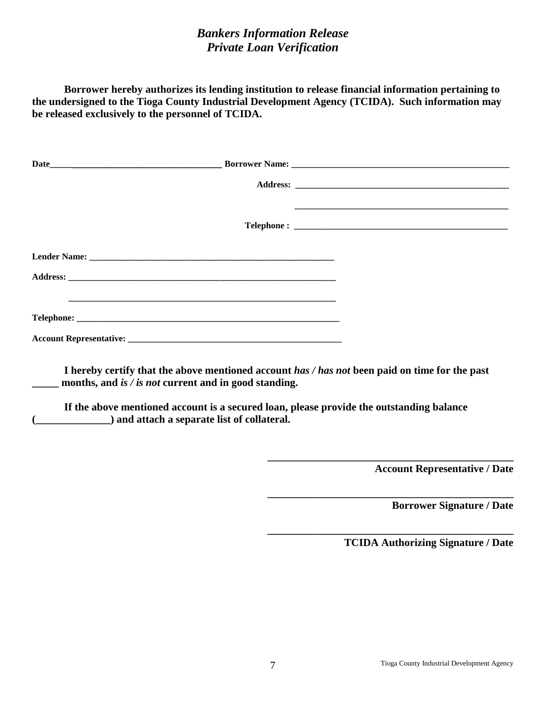# *Bankers Information Release Private Loan Verification*

**Borrower hereby authorizes its lending institution to release financial information pertaining to the undersigned to the Tioga County Industrial Development Agency (TCIDA). Such information may be released exclusively to the personnel of TCIDA.**

| months, and is $\ell$ is not current and in good standing. | I hereby certify that the above mentioned account has / has not been paid on time for the past |
|------------------------------------------------------------|------------------------------------------------------------------------------------------------|

**If the above mentioned account is a secured loan, please provide the outstanding balance (\_\_\_\_\_\_\_\_\_\_\_\_\_\_) and attach a separate list of collateral.**

 **Account Representative / Date** 

 **Borrower Signature / Date**

**TCIDA Authorizing Signature / Date**

**\_\_\_\_\_\_\_\_\_\_\_\_\_\_\_\_\_\_\_\_\_\_\_\_\_\_\_\_\_\_\_\_\_\_\_\_\_\_\_\_\_\_\_\_\_\_**

**\_\_\_\_\_\_\_\_\_\_\_\_\_\_\_\_\_\_\_\_\_\_\_\_\_\_\_\_\_\_\_\_\_\_\_\_\_\_\_\_\_\_\_\_\_\_**

**\_\_\_\_\_\_\_\_\_\_\_\_\_\_\_\_\_\_\_\_\_\_\_\_\_\_\_\_\_\_\_\_\_\_\_\_\_\_\_\_\_\_\_\_\_\_**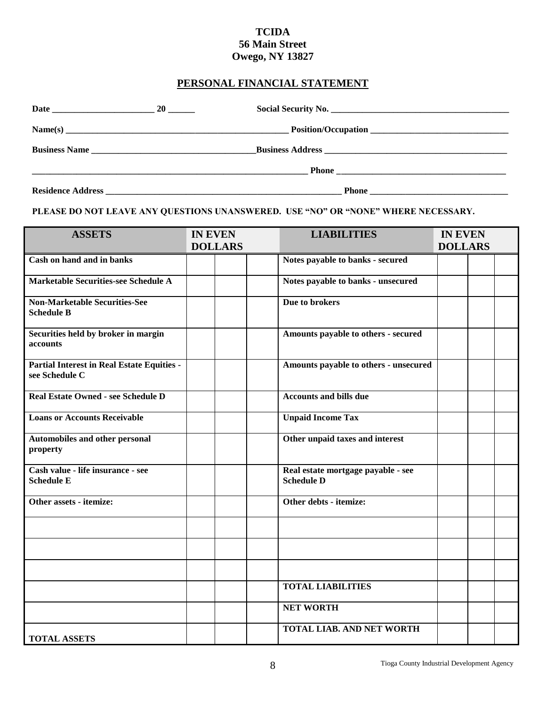## **TCIDA 56 Main Street Owego, NY 13827**

## **PERSONAL FINANCIAL STATEMENT**

|               | $20$ $\_\_$ |                                                                                                                                                                                                                                |  |
|---------------|-------------|--------------------------------------------------------------------------------------------------------------------------------------------------------------------------------------------------------------------------------|--|
| Name(s)       |             |                                                                                                                                                                                                                                |  |
| Business Name |             |                                                                                                                                                                                                                                |  |
|               |             |                                                                                                                                                                                                                                |  |
|               |             | Residence Address and the state of the state of the state of the state of the state of the state of the state of the state of the state of the state of the state of the state of the state of the state of the state of the s |  |

**PLEASE DO NOT LEAVE ANY QUESTIONS UNANSWERED. USE "NO" OR "NONE" WHERE NECESSARY.**

| <b>ASSETS</b>                                                       | <b>IN EVEN</b><br><b>DOLLARS</b> | <b>LIABILITIES</b>                                      | <b>IN EVEN</b><br><b>DOLLARS</b> |
|---------------------------------------------------------------------|----------------------------------|---------------------------------------------------------|----------------------------------|
| Cash on hand and in banks                                           |                                  | Notes payable to banks - secured                        |                                  |
| <b>Marketable Securities-see Schedule A</b>                         |                                  | Notes payable to banks - unsecured                      |                                  |
| <b>Non-Marketable Securities-See</b><br><b>Schedule B</b>           |                                  | Due to brokers                                          |                                  |
| Securities held by broker in margin<br>accounts                     |                                  | Amounts payable to others - secured                     |                                  |
| <b>Partial Interest in Real Estate Equities -</b><br>see Schedule C |                                  | Amounts payable to others - unsecured                   |                                  |
| Real Estate Owned - see Schedule D                                  |                                  | <b>Accounts and bills due</b>                           |                                  |
| <b>Loans or Accounts Receivable</b>                                 |                                  | <b>Unpaid Income Tax</b>                                |                                  |
| Automobiles and other personal<br>property                          |                                  | Other unpaid taxes and interest                         |                                  |
| Cash value - life insurance - see<br><b>Schedule E</b>              |                                  | Real estate mortgage payable - see<br><b>Schedule D</b> |                                  |
| Other assets - itemize:                                             |                                  | Other debts - itemize:                                  |                                  |
|                                                                     |                                  |                                                         |                                  |
|                                                                     |                                  |                                                         |                                  |
|                                                                     |                                  |                                                         |                                  |
|                                                                     |                                  | <b>TOTAL LIABILITIES</b>                                |                                  |
|                                                                     |                                  | <b>NET WORTH</b>                                        |                                  |
| <b>TOTAL ASSETS</b>                                                 |                                  | <b>TOTAL LIAB. AND NET WORTH</b>                        |                                  |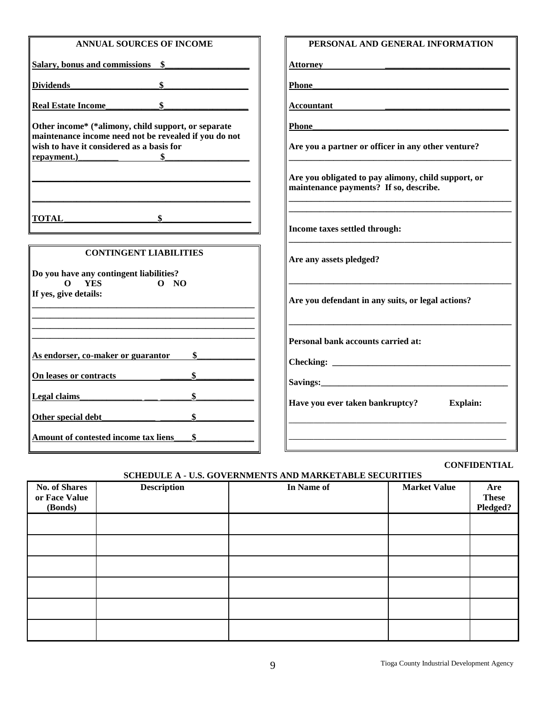| <b>ANNUAL SOURCES OF INCOME</b>                                                                                   | PERSONAL AND GENERAL INFORMATION                                                              |
|-------------------------------------------------------------------------------------------------------------------|-----------------------------------------------------------------------------------------------|
| Salary, bonus and commissions \$                                                                                  | Attorney                                                                                      |
| Dividends \$                                                                                                      | Phone                                                                                         |
| Real Estate Income                                                                                                | Accountant                                                                                    |
| Other income* (*alimony, child support, or separate                                                               | Phone                                                                                         |
| maintenance income need not be revealed if you do not<br>wish to have it considered as a basis for<br>repayment.) | Are you a partner or officer in any other venture?                                            |
|                                                                                                                   | Are you obligated to pay alimony, child support, or<br>maintenance payments? If so, describe. |
| <b>TOTAL</b>                                                                                                      | Income taxes settled through:                                                                 |
| <b>CONTINGENT LIABILITIES</b>                                                                                     | Are any assets pledged?                                                                       |
| Do you have any contingent liabilities?<br><b>YES</b><br>0 N0<br>$\Omega$                                         |                                                                                               |
| If yes, give details:                                                                                             | Are you defendant in any suits, or legal actions?                                             |
|                                                                                                                   |                                                                                               |
|                                                                                                                   | Personal bank accounts carried at:                                                            |
| As endorser, co-maker or guarantor                                                                                |                                                                                               |
| On leases or contracts                                                                                            |                                                                                               |
| Legal claims                                                                                                      | Have you ever taken bankruptcy?<br><b>Explain:</b>                                            |
|                                                                                                                   |                                                                                               |
| Amount of contested income tax liens<br>\$                                                                        |                                                                                               |

#### **CONFIDENTIAL**

#### **SCHEDULE A - U.S. GOVERNMENTS AND MARKETABLE SECURITIES**

|                                                  | -----              | $\cdots$   |                     |                                 |
|--------------------------------------------------|--------------------|------------|---------------------|---------------------------------|
| <b>No. of Shares</b><br>or Face Value<br>(Bonds) | <b>Description</b> | In Name of | <b>Market Value</b> | Are<br><b>These</b><br>Pledged? |
|                                                  |                    |            |                     |                                 |
|                                                  |                    |            |                     |                                 |
|                                                  |                    |            |                     |                                 |
|                                                  |                    |            |                     |                                 |
|                                                  |                    |            |                     |                                 |
|                                                  |                    |            |                     |                                 |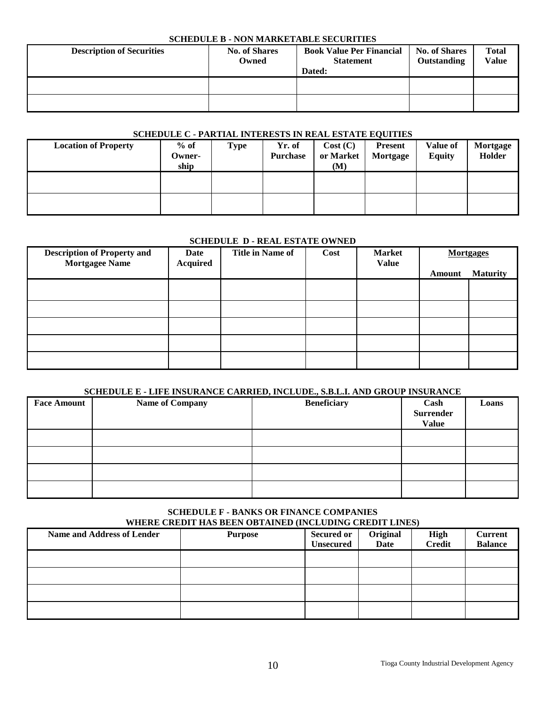#### **SCHEDULE B - NON MARKETABLE SECURITIES**

| <b>Description of Securities</b> | <b>No. of Shares</b><br>Owned | <b>Book Value Per Financial</b><br><b>Statement</b><br>Dated: | <b>No. of Shares</b><br>Outstanding | <b>Total</b><br>Value |
|----------------------------------|-------------------------------|---------------------------------------------------------------|-------------------------------------|-----------------------|
|                                  |                               |                                                               |                                     |                       |
|                                  |                               |                                                               |                                     |                       |

## **SCHEDULE C - PARTIAL INTERESTS IN REAL ESTATE EQUITIES**

| <b>Location of Property</b> | $%$ of | Type | Yr. of          | Cost (C)  | <b>Present</b> | Value of      | Mortgage |
|-----------------------------|--------|------|-----------------|-----------|----------------|---------------|----------|
|                             | Owner- |      | <b>Purchase</b> | or Market | Mortgage       | <b>Equity</b> | Holder   |
|                             | ship   |      |                 | (M)       |                |               |          |
|                             |        |      |                 |           |                |               |          |
|                             |        |      |                 |           |                |               |          |
|                             |        |      |                 |           |                |               |          |
|                             |        |      |                 |           |                |               |          |

#### **SCHEDULE D - REAL ESTATE OWNED**

| <b>Description of Property and</b><br><b>Mortgagee Name</b> | Date<br><b>Acquired</b> | <b>Title in Name of</b> | Cost | <b>Market</b><br><b>Value</b> |        | <b>Mortgages</b> |
|-------------------------------------------------------------|-------------------------|-------------------------|------|-------------------------------|--------|------------------|
|                                                             |                         |                         |      |                               | Amount | <b>Maturity</b>  |
|                                                             |                         |                         |      |                               |        |                  |
|                                                             |                         |                         |      |                               |        |                  |
|                                                             |                         |                         |      |                               |        |                  |
|                                                             |                         |                         |      |                               |        |                  |
|                                                             |                         |                         |      |                               |        |                  |

#### **SCHEDULE E - LIFE INSURANCE CARRIED, INCLUDE., S.B.L.I. AND GROUP INSURANCE**

| <b>Face Amount</b> | <b>Name of Company</b> | <b>Beneficiary</b> | Cash<br><b>Surrender</b><br><b>Value</b> | Loans |
|--------------------|------------------------|--------------------|------------------------------------------|-------|
|                    |                        |                    |                                          |       |
|                    |                        |                    |                                          |       |
|                    |                        |                    |                                          |       |
|                    |                        |                    |                                          |       |

#### **SCHEDULE F - BANKS OR FINANCE COMPANIES WHERE CREDIT HAS BEEN OBTAINED (INCLUDING CREDIT LINES)**

| <b>Name and Address of Lender</b> | WHERE CREDIT HIS DEEN OD HIM (ED \INCECDING CREDIT EN (ED)<br><b>Purpose</b> | <b>Secured or</b><br><b>Unsecured</b> | Original<br>Date | <b>High</b><br><b>Credit</b> | <b>Current</b><br><b>Balance</b> |
|-----------------------------------|------------------------------------------------------------------------------|---------------------------------------|------------------|------------------------------|----------------------------------|
|                                   |                                                                              |                                       |                  |                              |                                  |
|                                   |                                                                              |                                       |                  |                              |                                  |
|                                   |                                                                              |                                       |                  |                              |                                  |
|                                   |                                                                              |                                       |                  |                              |                                  |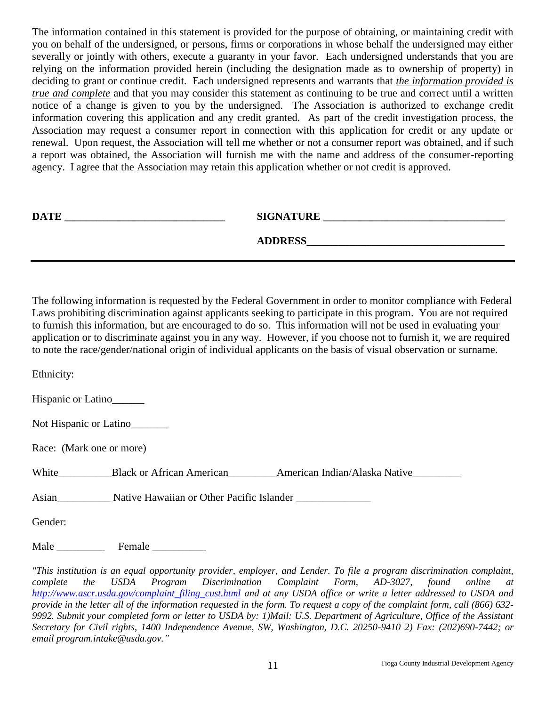The information contained in this statement is provided for the purpose of obtaining, or maintaining credit with you on behalf of the undersigned, or persons, firms or corporations in whose behalf the undersigned may either severally or jointly with others, execute a guaranty in your favor. Each undersigned understands that you are relying on the information provided herein (including the designation made as to ownership of property) in deciding to grant or continue credit. Each undersigned represents and warrants that *the information provided is true and complete* and that you may consider this statement as continuing to be true and correct until a written notice of a change is given to you by the undersigned. The Association is authorized to exchange credit information covering this application and any credit granted. As part of the credit investigation process, the Association may request a consumer report in connection with this application for credit or any update or renewal. Upon request, the Association will tell me whether or not a consumer report was obtained, and if such a report was obtained, the Association will furnish me with the name and address of the consumer-reporting agency. I agree that the Association may retain this application whether or not credit is approved.

| <b>DATE</b> | <b>SIGNATURE</b> |
|-------------|------------------|
|             | <b>ADDRESS</b>   |

The following information is requested by the Federal Government in order to monitor compliance with Federal Laws prohibiting discrimination against applicants seeking to participate in this program. You are not required to furnish this information, but are encouraged to do so. This information will not be used in evaluating your application or to discriminate against you in any way. However, if you choose not to furnish it, we are required to note the race/gender/national origin of individual applicants on the basis of visual observation or surname.

Ethnicity:

Hispanic or Latino\_\_\_\_\_\_

Not Hispanic or Latino

Race: (Mark one or more)

White Black or African American American Indian/Alaska Native

Asian\_\_\_\_\_\_\_\_\_\_\_ Native Hawaiian or Other Pacific Islander \_\_\_\_\_\_\_\_\_\_\_\_\_\_\_\_\_\_\_\_\_

Gender:

Male \_\_\_\_\_\_\_\_\_ Female \_\_\_\_\_\_\_\_\_\_

*"This institution is an equal opportunity provider, employer, and Lender. To file a program discrimination complaint, complete the USDA Program Discrimination Complaint Form, AD-3027, found online at [http://www.ascr.usda.gov/complaint\\_filing\\_cust.html](http://www.ascr.usda.gov/complaint_filing_cust.html) and at any USDA office or write a letter addressed to USDA and provide in the letter all of the information requested in the form. To request a copy of the complaint form, call (866) 632- 9992. Submit your completed form or letter to USDA by: 1)Mail: U.S. Department of Agriculture, Office of the Assistant Secretary for Civil rights, 1400 Independence Avenue, SW, Washington, D.C. 20250-9410 2) Fax: (202)690-7442; or email program.intake@usda.gov."*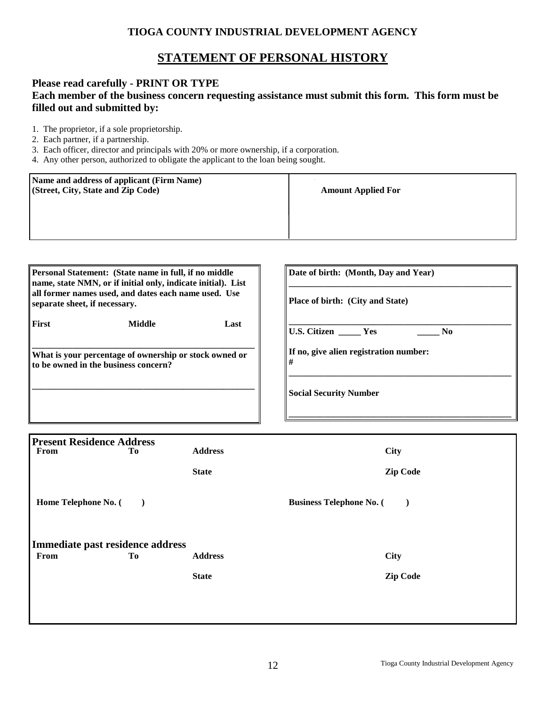## **TIOGA COUNTY INDUSTRIAL DEVELOPMENT AGENCY**

## **STATEMENT OF PERSONAL HISTORY**

### **Please read carefully - PRINT OR TYPE**

## **Each member of the business concern requesting assistance must submit this form. This form must be filled out and submitted by:**

- 1. The proprietor, if a sole proprietorship.
- 2. Each partner, if a partnership.
- 3. Each officer, director and principals with 20% or more ownership, if a corporation.
- 4. Any other person, authorized to obligate the applicant to the loan being sought.

| Name and address of applicant (Firm Name)<br>(Street, City, State and Zip Code) | <b>Amount Applied For</b> |
|---------------------------------------------------------------------------------|---------------------------|
|                                                                                 |                           |

|      | Date of birth: (Month, Day and Year)<br><b>Place of birth:</b> (City and State)                                                                                                |
|------|--------------------------------------------------------------------------------------------------------------------------------------------------------------------------------|
| Last | $\parallel$ U.S. Citizen _______ Yes<br>N <sub>0</sub>                                                                                                                         |
|      | If no, give alien registration number:                                                                                                                                         |
|      | <b>Social Security Number</b>                                                                                                                                                  |
|      | name, state NMN, or if initial only, indicate initial). List<br>all former names used, and dates each name used. Use<br>What is your percentage of ownership or stock owned or |

| <b>Present Residence Address</b><br>From | Tо                       | <b>Address</b> | <b>City</b>                     |
|------------------------------------------|--------------------------|----------------|---------------------------------|
|                                          |                          | <b>State</b>   | <b>Zip Code</b>                 |
| Home Telephone No. (                     | $\overline{\phantom{a}}$ |                | <b>Business Telephone No. (</b> |
| Immediate past residence address         |                          |                |                                 |
| From                                     | Tо                       | <b>Address</b> | <b>City</b>                     |
|                                          |                          | <b>State</b>   | <b>Zip Code</b>                 |
|                                          |                          |                |                                 |
|                                          |                          |                |                                 |
|                                          |                          |                |                                 |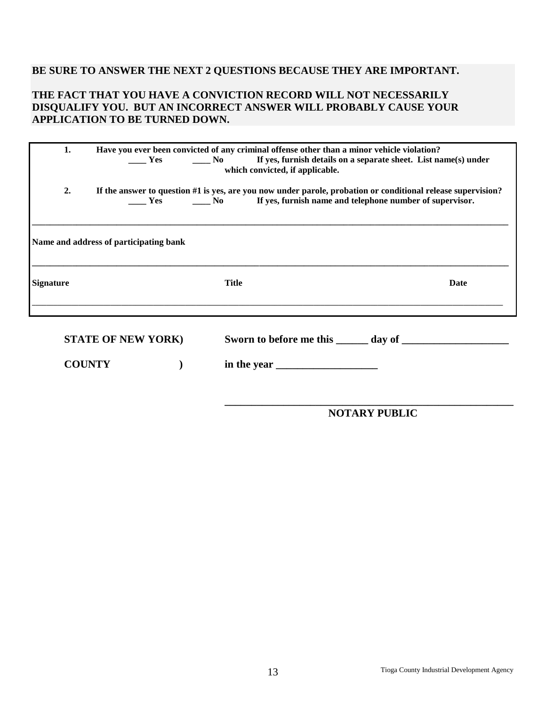## **BE SURE TO ANSWER THE NEXT 2 QUESTIONS BECAUSE THEY ARE IMPORTANT.**

### **THE FACT THAT YOU HAVE A CONVICTION RECORD WILL NOT NECESSARILY DISQUALIFY YOU. BUT AN INCORRECT ANSWER WILL PROBABLY CAUSE YOUR APPLICATION TO BE TURNED DOWN.**

| Have you ever been convicted of any criminal offense other than a minor vehicle violation?<br>1.<br>Les Communisment of the Section of the Section of the Section of the Section of the Section of the Section of T<br>which convicted, if applicable. |                                        |              |                                                                                                                                                                                                                                                                                                                                                                                                                                |  |  |
|--------------------------------------------------------------------------------------------------------------------------------------------------------------------------------------------------------------------------------------------------------|----------------------------------------|--------------|--------------------------------------------------------------------------------------------------------------------------------------------------------------------------------------------------------------------------------------------------------------------------------------------------------------------------------------------------------------------------------------------------------------------------------|--|--|
| 2.                                                                                                                                                                                                                                                     |                                        |              | If the answer to question #1 is yes, are you now under parole, probation or conditional release supervision?<br><b>EXECUTE:</b> Yes <b>SECUTE:</b> No <b>EXECUTE:</b> No <b>EXECUTE:</b> No <b>EXECUTE:</b> No <b>EXECUTE:</b> No <b>EXECUTE:</b> No <b>EXECUTE:</b> No <b>EXECUTE:</b> No <b>EXECUTE:</b> No <b>EXECUTE:</b> No <b>EXECUTE:</b> No <b>EXECUTE:</b> No <b>EXECUTE:</b> No <b>EXECUTE:</b> No <b>EXECUTE:</b> N |  |  |
|                                                                                                                                                                                                                                                        | Name and address of participating bank |              |                                                                                                                                                                                                                                                                                                                                                                                                                                |  |  |
| <b>Signature</b>                                                                                                                                                                                                                                       |                                        | <b>Title</b> | Date                                                                                                                                                                                                                                                                                                                                                                                                                           |  |  |
|                                                                                                                                                                                                                                                        | <b>STATE OF NEW YORK)</b>              |              |                                                                                                                                                                                                                                                                                                                                                                                                                                |  |  |
| <b>COUNTY</b>                                                                                                                                                                                                                                          |                                        | in the year  |                                                                                                                                                                                                                                                                                                                                                                                                                                |  |  |

**\_\_\_\_\_\_\_\_\_\_\_\_\_\_\_\_\_\_\_\_\_\_\_\_\_\_\_\_\_\_\_\_\_\_\_\_\_\_\_\_\_\_\_\_\_\_\_\_\_\_\_\_\_\_ NOTARY PUBLIC**